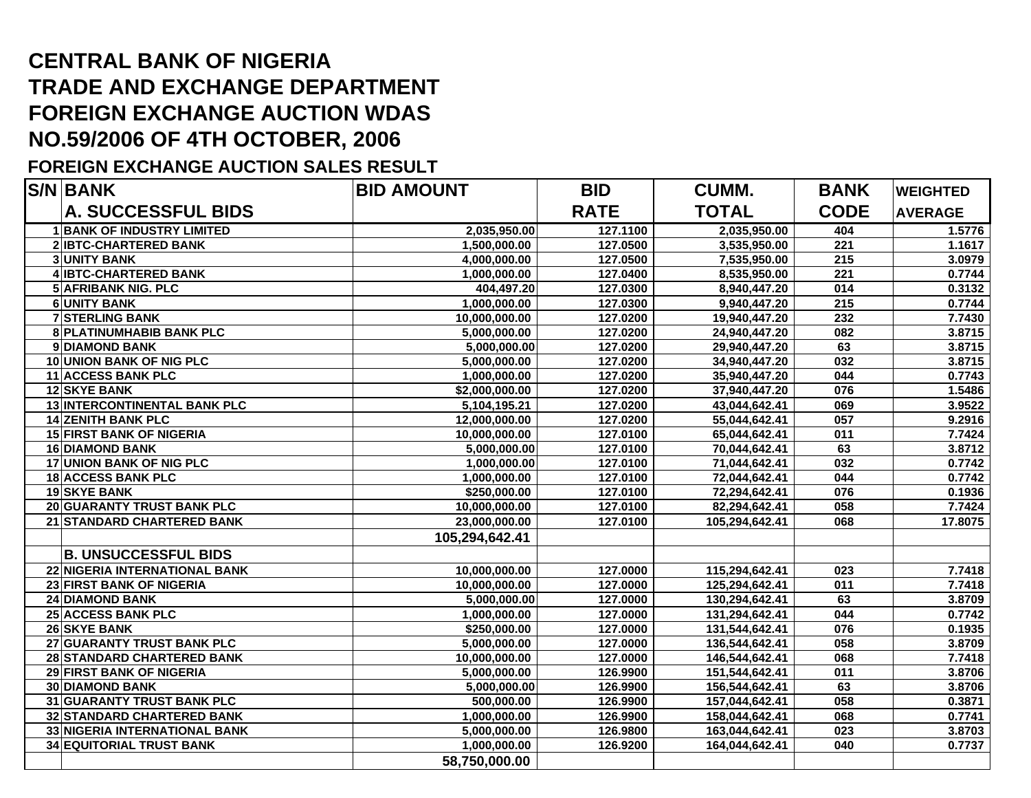## **CENTRAL BANK OF NIGERIA TRADE AND EXCHANGE DEPARTMENT FOREIGN EXCHANGE AUCTION WDAS NO.59/2006 OF 4TH OCTOBER, 2006**

## **FOREIGN EXCHANGE AUCTION SALES RESULT**

| <b>S/N BANK</b>                   | <b>BID AMOUNT</b> | <b>BID</b>  | <b>CUMM.</b>   | <b>BANK</b>      | <b>WEIGHTED</b> |
|-----------------------------------|-------------------|-------------|----------------|------------------|-----------------|
| <b>A. SUCCESSFUL BIDS</b>         |                   | <b>RATE</b> | <b>TOTAL</b>   | <b>CODE</b>      | <b>AVERAGE</b>  |
| <b>1 BANK OF INDUSTRY LIMITED</b> | 2,035,950.00      | 127.1100    | 2,035,950.00   | 404              | 1.5776          |
| 2 IBTC-CHARTERED BANK             | 1,500,000.00      | 127.0500    | 3,535,950.00   | 221              | 1.1617          |
| <b>3 UNITY BANK</b>               | 4,000,000.00      | 127.0500    | 7,535,950.00   | 215              | 3.0979          |
| 4 IBTC-CHARTERED BANK             | 1,000,000.00      | 127.0400    | 8,535,950.00   | 221              | 0.7744          |
| <b>5 AFRIBANK NIG. PLC</b>        | 404,497.20        | 127.0300    | 8,940,447.20   | 014              | 0.3132          |
| 6 UNITY BANK                      | 1,000,000.00      | 127.0300    | 9,940,447.20   | $\overline{215}$ | 0.7744          |
| <b>7 STERLING BANK</b>            | 10,000,000.00     | 127.0200    | 19,940,447.20  | 232              | 7.7430          |
| 8 PLATINUMHABIB BANK PLC          | 5,000,000.00      | 127.0200    | 24,940,447.20  | 082              | 3.8715          |
| 9 DIAMOND BANK                    | 5,000,000.00      | 127.0200    | 29,940,447.20  | 63               | 3.8715          |
| 10 UNION BANK OF NIG PLC          | 5,000,000.00      | 127.0200    | 34,940,447.20  | 032              | 3.8715          |
| 11 ACCESS BANK PLC                | 1,000,000.00      | 127.0200    | 35,940,447.20  | 044              | 0.7743          |
| 12 SKYE BANK                      | \$2,000,000.00    | 127.0200    | 37,940,447.20  | 076              | 1.5486          |
| 13 INTERCONTINENTAL BANK PLC      | 5,104,195.21      | 127.0200    | 43,044,642.41  | 069              | 3.9522          |
| <b>14 ZENITH BANK PLC</b>         | 12,000,000.00     | 127.0200    | 55,044,642.41  | 057              | 9.2916          |
| <b>15 FIRST BANK OF NIGERIA</b>   | 10,000,000.00     | 127.0100    | 65,044,642.41  | 011              | 7.7424          |
| <b>16 DIAMOND BANK</b>            | 5,000,000.00      | 127.0100    | 70,044,642.41  | 63               | 3.8712          |
| <b>17 UNION BANK OF NIG PLC</b>   | 1,000,000.00      | 127.0100    | 71,044,642.41  | 032              | 0.7742          |
| <b>18 ACCESS BANK PLC</b>         | 1,000,000.00      | 127.0100    | 72,044,642.41  | 044              | 0.7742          |
| 19 SKYE BANK                      | \$250,000.00      | 127.0100    | 72,294,642.41  | 076              | 0.1936          |
| 20 GUARANTY TRUST BANK PLC        | 10,000,000.00     | 127.0100    | 82,294,642.41  | 058              | 7.7424          |
| 21 STANDARD CHARTERED BANK        | 23,000,000.00     | 127.0100    | 105,294,642.41 | 068              | 17.8075         |
|                                   | 105,294,642.41    |             |                |                  |                 |
| <b>B. UNSUCCESSFUL BIDS</b>       |                   |             |                |                  |                 |
| 22 NIGERIA INTERNATIONAL BANK     | 10,000,000.00     | 127.0000    | 115,294,642.41 | 023              | 7.7418          |
| 23 FIRST BANK OF NIGERIA          | 10,000,000.00     | 127.0000    | 125,294,642.41 | 011              | 7.7418          |
| <b>24 DIAMOND BANK</b>            | 5,000,000.00      | 127.0000    | 130,294,642.41 | 63               | 3.8709          |
| <b>25 ACCESS BANK PLC</b>         | 1,000,000.00      | 127.0000    | 131,294,642.41 | 044              | 0.7742          |
| 26 SKYE BANK                      | \$250,000.00      | 127.0000    | 131,544,642.41 | 076              | 0.1935          |
| 27 GUARANTY TRUST BANK PLC        | 5,000,000.00      | 127.0000    | 136,544,642.41 | 058              | 3.8709          |
| 28 STANDARD CHARTERED BANK        | 10,000,000.00     | 127.0000    | 146,544,642.41 | 068              | 7.7418          |
| 29 FIRST BANK OF NIGERIA          | 5,000,000.00      | 126.9900    | 151,544,642.41 | 011              | 3.8706          |
| <b>30 DIAMOND BANK</b>            | 5,000,000.00      | 126.9900    | 156,544,642.41 | 63               | 3.8706          |
| 31 GUARANTY TRUST BANK PLC        | 500,000.00        | 126.9900    | 157,044,642.41 | 058              | 0.3871          |
| 32 STANDARD CHARTERED BANK        | 1,000,000.00      | 126.9900    | 158,044,642.41 | 068              | 0.7741          |
| 33 NIGERIA INTERNATIONAL BANK     | 5,000,000.00      | 126.9800    | 163,044,642.41 | 023              | 3.8703          |
| <b>34 EQUITORIAL TRUST BANK</b>   | 1,000,000.00      | 126.9200    | 164,044,642.41 | 040              | 0.7737          |
|                                   | 58,750,000.00     |             |                |                  |                 |